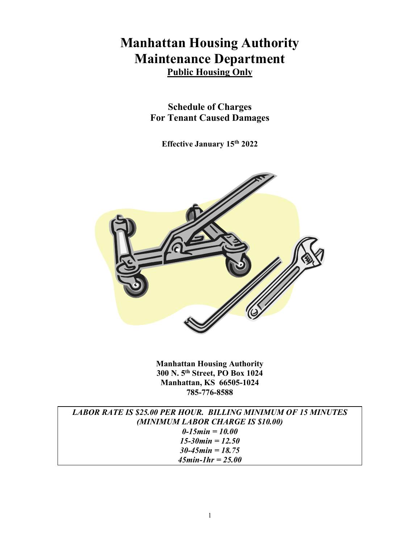# **Manhattan Housing Authority Maintenance Department Public Housing Only**

**Schedule of Charges For Tenant Caused Damages**

**Effective January 15th 2022**



**Manhattan Housing Authority 300 N. 5th Street, PO Box 1024 Manhattan, KS 66505-1024 785-776-8588**

| <b>LABOR RATE IS \$25.00 PER HOUR. BILLING MINIMUM OF 15 MINUTES</b> |
|----------------------------------------------------------------------|
| (MINIMUM LABOR CHARGE IS \$10.00)                                    |
| 0-15 min = $10.00$                                                   |
| 15-30 min = $12.50$                                                  |
| $30 - 45$ min = 18.75                                                |
| $45min$ -1hr = 25.00                                                 |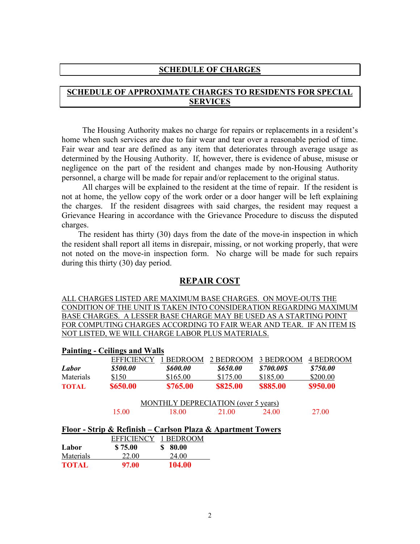#### **SCHEDULE OF CHARGES**

## **SCHEDULE OF APPROXIMATE CHARGES TO RESIDENTS FOR SPECIAL SERVICES**

 The Housing Authority makes no charge for repairs or replacements in a resident's home when such services are due to fair wear and tear over a reasonable period of time. Fair wear and tear are defined as any item that deteriorates through average usage as determined by the Housing Authority. If, however, there is evidence of abuse, misuse or negligence on the part of the resident and changes made by non-Housing Authority personnel, a charge will be made for repair and/or replacement to the original status.

 All charges will be explained to the resident at the time of repair. If the resident is not at home, the yellow copy of the work order or a door hanger will be left explaining the charges. If the resident disagrees with said charges, the resident may request a Grievance Hearing in accordance with the Grievance Procedure to discuss the disputed charges.

 The resident has thirty (30) days from the date of the move-in inspection in which the resident shall report all items in disrepair, missing, or not working properly, that were not noted on the move-in inspection form. No charge will be made for such repairs during this thirty (30) day period.

#### **REPAIR COST**

ALL CHARGES LISTED ARE MAXIMUM BASE CHARGES. ON MOVE-OUTS THE CONDITION OF THE UNIT IS TAKEN INTO CONSIDERATION REGARDING MAXIMUM BASE CHARGES. A LESSER BASE CHARGE MAY BE USED AS A STARTING POINT FOR COMPUTING CHARGES ACCORDING TO FAIR WEAR AND TEAR. IF AN ITEM IS NOT LISTED, WE WILL CHARGE LABOR PLUS MATERIALS.

|              | <b>Painting - Ceilings and Walls</b>                        |                 |                                            |            |                  |
|--------------|-------------------------------------------------------------|-----------------|--------------------------------------------|------------|------------------|
|              | <b>EFFICIENCY</b>                                           | <b>BEDROOM</b>  | 2 BEDROOM                                  | 3 BEDROOM  | <b>4 BEDROOM</b> |
| Labor        | \$500.00                                                    | <b>\$600.00</b> | \$650.00                                   | \$700.00\$ | \$750.00         |
| Materials    | \$150                                                       | \$165.00        | \$175.00                                   | \$185.00   | \$200.00         |
| <b>TOTAL</b> | \$650.00                                                    | \$765.00        | \$825.00                                   | \$885.00   | \$950.00         |
|              |                                                             |                 | <b>MONTHLY DEPRECIATION</b> (over 5 years) |            |                  |
|              | 15.00                                                       | 18.00           | 21.00                                      | 24.00      | 27.00            |
|              | Floor - Strip & Refinish – Carlson Plaza & Apartment Towers |                 |                                            |            |                  |
|              | <b>EFFICIENCY</b>                                           | 1 BEDROOM       |                                            |            |                  |
| Labor        | \$75.00                                                     | 80.00           |                                            |            |                  |
| Materials    | 22.00                                                       | 24.00           |                                            |            |                  |

**TOTAL 97.00 104.00** 

2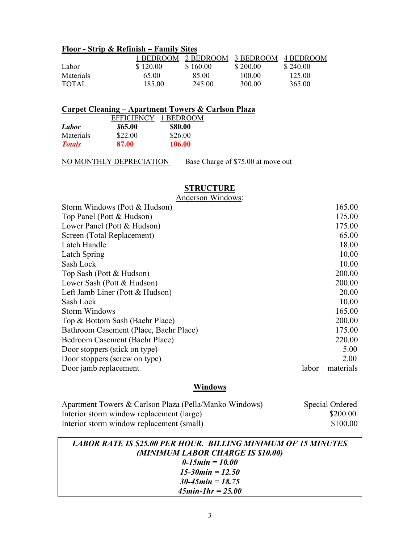# **Floor - Strip & Refinish – Family Sites**

|           | 1 BEDROOM. | $-2$ BEDROOM $-3$ BEDROOM |          | 4 BEDROOM |
|-----------|------------|---------------------------|----------|-----------|
| Labor     | \$120.00   | \$160.00                  | \$200.00 | \$240.00  |
| Materials | 65.00      | 85.00                     | 100.00   | 125.00    |
| TOTAL     | 185.00     | 245.00                    | 300.00   | 365.00    |

# **Carpet Cleaning – Apartment Towers & Carlson Plaza**

|               | <b>EFFICIENCY</b>     | 1 BEDROOM |
|---------------|-----------------------|-----------|
| Labor         | <i><b>\$65.00</b></i> | \$80.00   |
| Materials     | \$22.00               | \$26.00   |
| <b>Totals</b> | 87.00                 | 106.00    |

NO MONTHLY DEPRECIATION Base Charge of \$75.00 at move out

# **STRUCTURE**

| Anderson Windows: |
|-------------------|
|                   |

| Storm Windows (Pott & Hudson)          | 165.00            |
|----------------------------------------|-------------------|
| Top Panel (Pott & Hudson)              | 175.00            |
| Lower Panel (Pott & Hudson)            | 175.00            |
| Screen (Total Replacement)             | 65.00             |
| Latch Handle                           | 18.00             |
| Latch Spring                           | 10.00             |
| Sash Lock                              | 10.00             |
| Top Sash (Pott & Hudson)               | 200.00            |
| Lower Sash (Pott & Hudson)             | 200.00            |
| Left Jamb Liner (Pott & Hudson)        | 20.00             |
| Sash Lock                              | 10.00             |
| <b>Storm Windows</b>                   | 165.00            |
| Top & Bottom Sash (Baehr Place)        | 200.00            |
| Bathroom Casement (Place, Baehr Place) | 175.00            |
| Bedroom Casement (Baehr Place)         | 220.00            |
| Door stoppers (stick on type)          | 5.00              |
| Door stoppers (screw on type)          | 2.00              |
| Door jamb replacement                  | labor + materials |

# **Windows**

| Apartment Towers & Carlson Plaza (Pella/Manko Windows) | Special Ordered |
|--------------------------------------------------------|-----------------|
| Interior storm window replacement (large)              | \$200.00        |
| Interior storm window replacement (small)              | \$100.00        |

| <b>LABOR RATE IS \$25.00 PER HOUR. BILLING MINIMUM OF 15 MINUTES</b> |
|----------------------------------------------------------------------|
| (MINIMUM LABOR CHARGE IS \$10.00)                                    |
| $0-15$ min = 10.00                                                   |
| 15-30 min = $12.50$                                                  |
| $30 - 45$ min = 18.75                                                |
| $45min-1hr = 25.00$                                                  |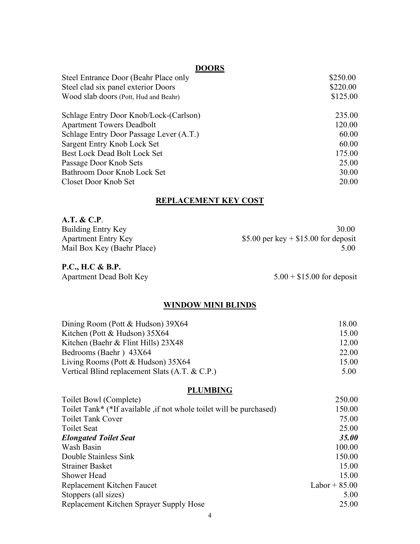# **DOORS**

| Steel Entrance Door (Beahr Place only   | \$250.00 |
|-----------------------------------------|----------|
| Steel clad six panel exterior Doors     | \$220.00 |
| Wood slab doors (Pott, Hud and Beahr)   | \$125.00 |
| Schlage Entry Door Knob/Lock-(Carlson)  | 235.00   |
| <b>Apartment Towers Deadbolt</b>        | 120.00   |
| Schlage Entry Door Passage Lever (A.T.) | 60.00    |
| Sargent Entry Knob Lock Set             | 60.00    |
| Best Lock Dead Bolt Lock Set            | 175.00   |
| Passage Door Knob Sets                  | 25.00    |
| Bathroom Door Knob Lock Set             | 30.00    |
| Closet Door Knob Set                    | 20.00    |
|                                         |          |

# **REPLACEMENT KEY COST**

| 30.00                                  |
|----------------------------------------|
| \$5.00 per key $+$ \$15.00 for deposit |
| 5.00                                   |
|                                        |

#### **P.C., H.C & B.P.**

Apartment Dead Bolt Key 5.00 + \$15.00 for deposit

# **WINDOW MINI BLINDS**

| Dining Room (Pott & Hudson) 39X64              | 18.00 |
|------------------------------------------------|-------|
| Kitchen (Pott & Hudson) 35X64                  | 15.00 |
| Kitchen (Baehr & Flint Hills) 23X48            | 12.00 |
| Bedrooms (Baehr) 43X64                         | 22.00 |
| Living Rooms (Pott $& Hudson$ ) 35X64          | 15.00 |
| Vertical Blind replacement Slats (A.T. & C.P.) | 5.00  |

# **PLUMBING**

| Toilet Bowl (Complete)                                              | 250.00          |
|---------------------------------------------------------------------|-----------------|
| Toilet Tank* (*If available, if not whole toilet will be purchased) | 150.00          |
| <b>Toilet Tank Cover</b>                                            | 75.00           |
| <b>Toilet Seat</b>                                                  | 25.00           |
| <b>Elongated Toilet Seat</b>                                        | 35.00           |
| Wash Basin                                                          | 100.00          |
| Double Stainless Sink                                               | 150.00          |
| <b>Strainer Basket</b>                                              | 15.00           |
| Shower Head                                                         | 15.00           |
| Replacement Kitchen Faucet                                          | Labor + $85.00$ |
| Stoppers (all sizes)                                                | 5.00            |
| Replacement Kitchen Sprayer Supply Hose                             | 25.00           |
|                                                                     |                 |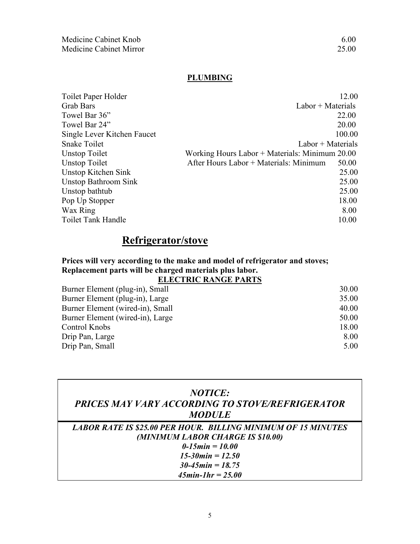# **PLUMBING**

| Toilet Paper Holder         |                                                | 12.00  |
|-----------------------------|------------------------------------------------|--------|
| <b>Grab Bars</b>            | $Labor + Materials$                            |        |
| Towel Bar 36"               |                                                | 22.00  |
| Towel Bar 24"               |                                                | 20.00  |
| Single Lever Kitchen Faucet |                                                | 100.00 |
| <b>Snake Toilet</b>         | $Labor + Materials$                            |        |
| Unstop Toilet               | Working Hours Labor + Materials: Minimum 20.00 |        |
| Unstop Toilet               | After Hours Labor + Materials: Minimum         | 50.00  |
| Unstop Kitchen Sink         |                                                | 25.00  |
| <b>Unstop Bathroom Sink</b> |                                                | 25.00  |
| Unstop bathtub              |                                                | 25.00  |
| Pop Up Stopper              |                                                | 18.00  |
| Wax Ring                    |                                                | 8.00   |
| Toilet Tank Handle          |                                                | 10.00  |
|                             |                                                |        |

# **Refrigerator/stove**

## **Prices will very according to the make and model of refrigerator and stoves; Replacement parts will be charged materials plus labor. ELECTRIC RANGE PARTS**

| Burner Element (plug-in), Small  | 30.00 |
|----------------------------------|-------|
| Burner Element (plug-in), Large  | 35.00 |
| Burner Element (wired-in), Small | 40.00 |
| Burner Element (wired-in), Large | 50.00 |
| Control Knobs                    | 18.00 |
| Drip Pan, Large                  | 8.00  |
| Drip Pan, Small                  | 5.00  |
|                                  |       |

| <b>NOTICE:</b><br>PRICES MAY VARY ACCORDING TO STOVE/REFRIGERATOR<br><b>MODULE</b>                                             |
|--------------------------------------------------------------------------------------------------------------------------------|
| <b>LABOR RATE IS \$25.00 PER HOUR. BILLING MINIMUM OF 15 MINUTES</b><br>(MINIMUM LABOR CHARGE IS \$10.00)<br>$0-15min = 10.00$ |
| $15 - 30$ min = $12.50$<br>$30 - 45$ min = 18.75<br>$45min$ -1hr = 25.00                                                       |